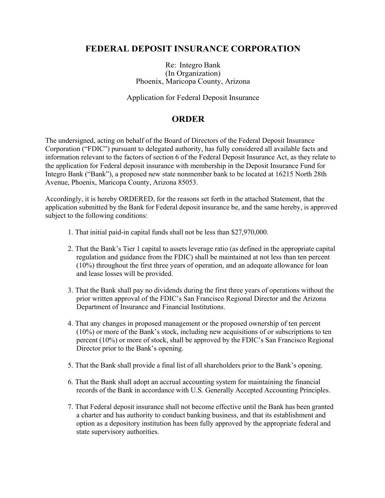# **FEDERAL DEPOSIT INSURANCE CORPORATION**

### Re: Integro Bank (In Organization) Phoenix, Maricopa County, Arizona

Application for Federal Deposit Insurance

# **ORDER**

The undersigned, acting on behalf of the Board of Directors of the Federal Deposit Insurance Corporation ("FDIC") pursuant to delegated authority, has fully considered all available facts and information relevant to the factors of section 6 of the Federal Deposit Insurance Act, as they relate to the application for Federal deposit insurance with membership in the Deposit Insurance Fund for Integro Bank ("Bank"), a proposed new state nonmember bank to be located at 16215 North 28th Avenue, Phoenix, Maricopa County, Arizona 85053.

Accordingly, it is hereby ORDERED, for the reasons set forth in the attached Statement, that the application submitted by the Bank for Federal deposit insurance be, and the same hereby, is approved subject to the following conditions:

- 1. That initial paid-in capital funds shall not be less than \$27,970,000.
- 2. That the Bank's Tier 1 capital to assets leverage ratio (as defined in the appropriate capital regulation and guidance from the FDIC) shall be maintained at not less than ten percent (10%) throughout the first three years of operation, and an adequate allowance for loan and lease losses will be provided.
- 3. That the Bank shall pay no dividends during the first three years of operations without the prior written approval of the FDIC's San Francisco Regional Director and the Arizona Department of Insurance and Financial Institutions.
- 4. That any changes in proposed management or the proposed ownership of ten percent (10%) or more of the Bank's stock, including new acquisitions of or subscriptions to ten percent (10%) or more of stock, shall be approved by the FDIC's San Francisco Regional Director prior to the Bank's opening.
- 5. That the Bank shall provide a final list of all shareholders prior to the Bank's opening.
- 6. That the Bank shall adopt an accrual accounting system for maintaining the financial records of the Bank in accordance with U.S. Generally Accepted Accounting Principles.
- 7. That Federal deposit insurance shall not become effective until the Bank has been granted a charter and has authority to conduct banking business, and that its establishment and option as a depository institution has been fully approved by the appropriate federal and state supervisory authorities.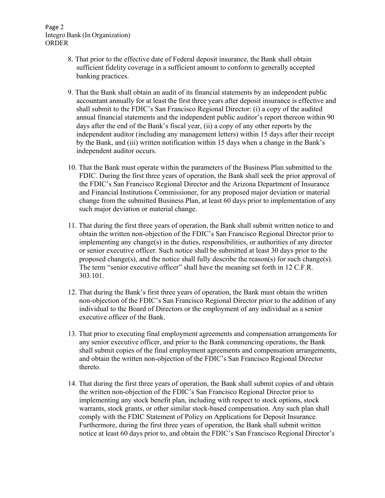#### Page 2 Integro Bank (In Organization) ORDER

- 8. That prior to the effective date of Federal deposit insurance, the Bank shall obtain sufficient fidelity coverage in a sufficient amount to conform to generally accepted banking practices.
- 9. That the Bank shall obtain an audit of its financial statements by an independent public accountant annually for at least the first three years after deposit insurance is effective and shall submit to the FDIC's San Francisco Regional Director: (i) a copy of the audited annual financial statements and the independent public auditor's report thereon within 90 days after the end of the Bank's fiscal year, (ii) a copy of any other reports by the independent auditor (including any management letters) within 15 days after their receipt by the Bank, and (iii) written notification within 15 days when a change in the Bank's independent auditor occurs.
- 10. That the Bank must operate within the parameters of the Business Plan submitted to the FDIC. During the first three years of operation, the Bank shall seek the prior approval of the FDIC's San Francisco Regional Director and the Arizona Department of Insurance and Financial Institutions Commissioner, for any proposed major deviation or material change from the submitted Business Plan, at least 60 days prior to implementation of any such major deviation or material change.
- 11. That during the first three years of operation, the Bank shall submit written notice to and obtain the written non-objection of the FDIC's San Francisco Regional Director prior to implementing any change(s) in the duties, responsibilities, or authorities of any director or senior executive officer. Such notice shall be submitted at least 30 days prior to the proposed change(s), and the notice shall fully describe the reason(s) for such change(s). The term "senior executive officer" shall have the meaning set forth in 12 C.F.R. 303.101.
- 12. That during the Bank's first three years of operation, the Bank must obtain the written non-objection of the FDIC's San Francisco Regional Director prior to the addition of any individual to the Board of Directors or the employment of any individual as a senior executive officer of the Bank.
- 13. That prior to executing final employment agreements and compensation arrangements for any senior executive officer, and prior to the Bank commencing operations, the Bank shall submit copies of the final employment agreements and compensation arrangements, and obtain the written non-objection of the FDIC's San Francisco Regional Director thereto.
- 14. That during the first three years of operation, the Bank shall submit copies of and obtain the written non-objection of the FDIC's San Francisco Regional Director prior to implementing any stock benefit plan, including with respect to stock options, stock warrants, stock grants, or other similar stock-based compensation. Any such plan shall comply with the FDIC Statement of Policy on Applications for Deposit Insurance. Furthermore, during the first three years of operation, the Bank shall submit written notice at least 60 days prior to, and obtain the FDIC's San Francisco Regional Director's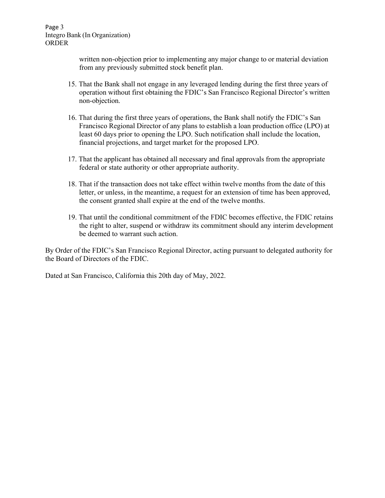Page 3 Integro Bank (In Organization) ORDER

> written non-objection prior to implementing any major change to or material deviation from any previously submitted stock benefit plan.

- 15. That the Bank shall not engage in any leveraged lending during the first three years of operation without first obtaining the FDIC's San Francisco Regional Director's written non-objection.
- 16. That during the first three years of operations, the Bank shall notify the FDIC's San Francisco Regional Director of any plans to establish a loan production office (LPO) at least 60 days prior to opening the LPO. Such notification shall include the location, financial projections, and target market for the proposed LPO.
- 17. That the applicant has obtained all necessary and final approvals from the appropriate federal or state authority or other appropriate authority.
- 18. That if the transaction does not take effect within twelve months from the date of this letter, or unless, in the meantime, a request for an extension of time has been approved, the consent granted shall expire at the end of the twelve months.
- 19. That until the conditional commitment of the FDIC becomes effective, the FDIC retains the right to alter, suspend or withdraw its commitment should any interim development be deemed to warrant such action.

By Order of the FDIC's San Francisco Regional Director, acting pursuant to delegated authority for the Board of Directors of the FDIC.

Dated at San Francisco, California this 20th day of May, 2022.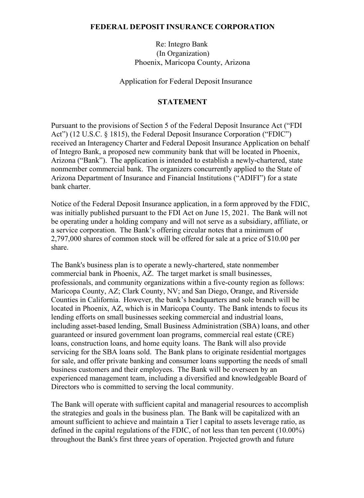### **FEDERAL DEPOSIT INSURANCE CORPORATION**

Re: Integro Bank (In Organization) Phoenix, Maricopa County, Arizona

Application for Federal Deposit Insurance

## **STATEMENT**

Pursuant to the provisions of Section 5 of the Federal Deposit Insurance Act ("FDI Act") (12 U.S.C. § 1815), the Federal Deposit Insurance Corporation ("FDIC") received an Interagency Charter and Federal Deposit Insurance Application on behalf of Integro Bank, a proposed new community bank that will be located in Phoenix, Arizona ("Bank"). The application is intended to establish a newly-chartered, state nonmember commercial bank. The organizers concurrently applied to the State of Arizona Department of Insurance and Financial Institutions ("ADIFI") for a state bank charter.

Notice of the Federal Deposit Insurance application, in a form approved by the FDIC, was initially published pursuant to the FDI Act on June 15, 2021. The Bank will not be operating under a holding company and will not serve as a subsidiary, affiliate, or a service corporation. The Bank's offering circular notes that a minimum of 2,797,000 shares of common stock will be offered for sale at a price of \$10.00 per share.

The Bank's business plan is to operate a newly-chartered, state nonmember commercial bank in Phoenix, AZ. The target market is small businesses, professionals, and community organizations within a five-county region as follows: Maricopa County, AZ; Clark County, NV; and San Diego, Orange, and Riverside Counties in California. However, the bank's headquarters and sole branch will be located in Phoenix, AZ, which is in Maricopa County. The Bank intends to focus its lending efforts on small businesses seeking commercial and industrial loans, including asset-based lending, Small Business Administration (SBA) loans, and other guaranteed or insured government loan programs, commercial real estate (CRE) loans, construction loans, and home equity loans. The Bank will also provide servicing for the SBA loans sold. The Bank plans to originate residential mortgages for sale, and offer private banking and consumer loans supporting the needs of small business customers and their employees. The Bank will be overseen by an experienced management team, including a diversified and knowledgeable Board of Directors who is committed to serving the local community.

The Bank will operate with sufficient capital and managerial resources to accomplish the strategies and goals in the business plan. The Bank will be capitalized with an amount sufficient to achieve and maintain a Tier l capital to assets leverage ratio, as defined in the capital regulations of the FDIC, of not less than ten percent (10.00%) throughout the Bank's first three years of operation. Projected growth and future